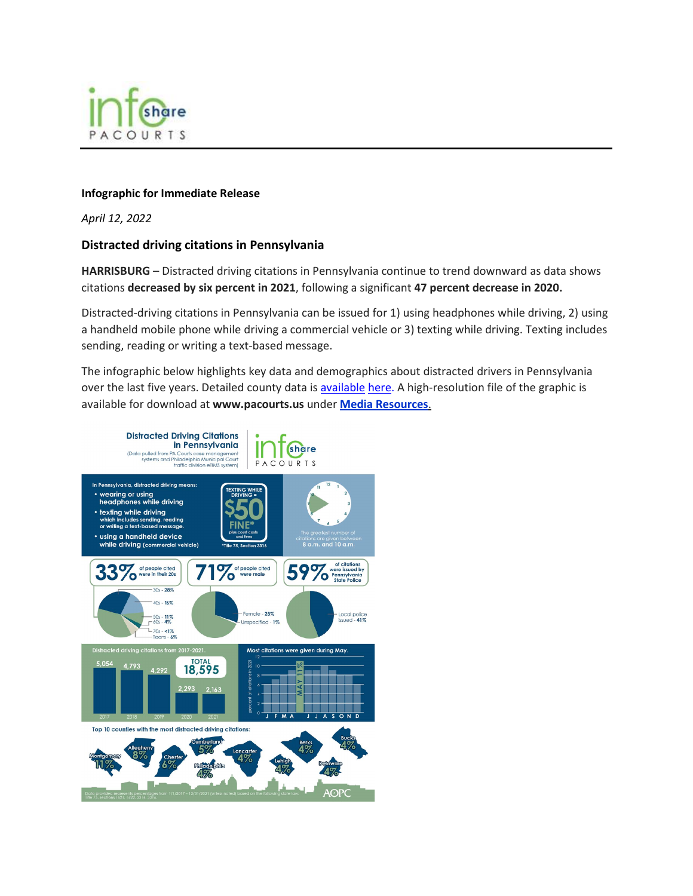

## **Infographic for Immediate Release**

*April 12, 2022*

## **Distracted driving citations in Pennsylvania**

**HARRISBURG** – Distracted driving citations in Pennsylvania continue to trend downward as data shows citations **decreased by six percent in 2021**, following a significant **47 percent decrease in 2020.** 

Distracted-driving citations in Pennsylvania can be issued for 1) using headphones while driving, 2) using a handheld mobile phone while driving a commercial vehicle or 3) texting while driving. Texting includes sending, reading or writing a text-based message.

The infographic below highlights key data and demographics about distracted drivers in Pennsylvania over the last five years. Detailed county data is [available](file://supreme.pacourts.us/itus/SaPJCStorage/pjcdata/Public/Communications/InfoShare/Planning/Statewide%20Count%20of%20distracted%20driving%20offenses%20filed.pdf) here. A high-resolution file of the graphic is available for download at **www.pacourts.us** under **[Media Resources](http://www.pacourts.us/news-and-statistics/media-resources)**.

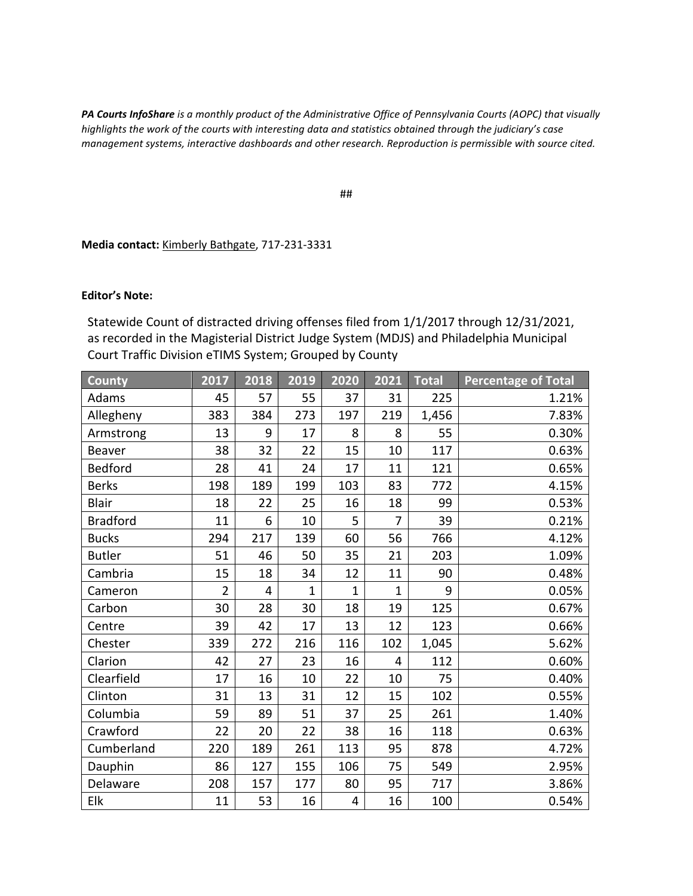*PA Courts InfoShare is a monthly product of the Administrative Office of Pennsylvania Courts (AOPC) that visually highlights the work of the courts with interesting data and statistics obtained through the judiciary's case management systems, interactive dashboards and other research. Reproduction is permissible with source cited.*

##

**Media contact:** [Kimberly Bathgate,](mailto:kimberly.bathgate@pacourts.us) 717-231-3331

## **Editor's Note:**

Statewide Count of distracted driving offenses filed from 1/1/2017 through 12/31/2021, as recorded in the Magisterial District Judge System (MDJS) and Philadelphia Municipal Court Traffic Division eTIMS System; Grouped by County

| <b>County</b>   | 2017           | 2018           | 2019         | 2020           | 2021           | <b>Total</b> | <b>Percentage of Total</b> |
|-----------------|----------------|----------------|--------------|----------------|----------------|--------------|----------------------------|
| Adams           | 45             | 57             | 55           | 37             | 31             | 225          | 1.21%                      |
| Allegheny       | 383            | 384            | 273          | 197            | 219            | 1,456        | 7.83%                      |
| Armstrong       | 13             | 9              | 17           | 8              | 8              | 55           | 0.30%                      |
| Beaver          | 38             | 32             | 22           | 15             | 10             | 117          | 0.63%                      |
| <b>Bedford</b>  | 28             | 41             | 24           | 17             | 11             | 121          | 0.65%                      |
| <b>Berks</b>    | 198            | 189            | 199          | 103            | 83             | 772          | 4.15%                      |
| <b>Blair</b>    | 18             | 22             | 25           | 16             | 18             | 99           | 0.53%                      |
| <b>Bradford</b> | 11             | 6              | 10           | 5              | $\overline{7}$ | 39           | 0.21%                      |
| <b>Bucks</b>    | 294            | 217            | 139          | 60             | 56             | 766          | 4.12%                      |
| <b>Butler</b>   | 51             | 46             | 50           | 35             | 21             | 203          | 1.09%                      |
| Cambria         | 15             | 18             | 34           | 12             | 11             | 90           | 0.48%                      |
| Cameron         | $\overline{2}$ | $\overline{4}$ | $\mathbf{1}$ | $\overline{1}$ | $\mathbf{1}$   | 9            | 0.05%                      |
| Carbon          | 30             | 28             | 30           | 18             | 19             | 125          | 0.67%                      |
| Centre          | 39             | 42             | 17           | 13             | 12             | 123          | 0.66%                      |
| Chester         | 339            | 272            | 216          | 116            | 102            | 1,045        | 5.62%                      |
| Clarion         | 42             | 27             | 23           | 16             | 4              | 112          | 0.60%                      |
| Clearfield      | 17             | 16             | 10           | 22             | 10             | 75           | 0.40%                      |
| Clinton         | 31             | 13             | 31           | 12             | 15             | 102          | 0.55%                      |
| Columbia        | 59             | 89             | 51           | 37             | 25             | 261          | 1.40%                      |
| Crawford        | 22             | 20             | 22           | 38             | 16             | 118          | 0.63%                      |
| Cumberland      | 220            | 189            | 261          | 113            | 95             | 878          | 4.72%                      |
| Dauphin         | 86             | 127            | 155          | 106            | 75             | 549          | 2.95%                      |
| Delaware        | 208            | 157            | 177          | 80             | 95             | 717          | 3.86%                      |
| Elk             | 11             | 53             | 16           | 4              | 16             | 100          | 0.54%                      |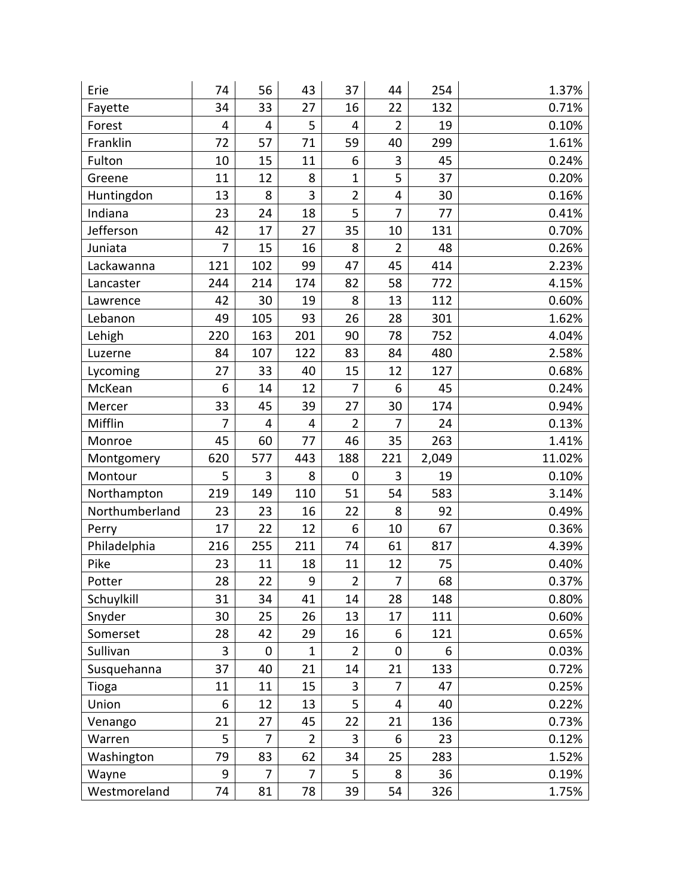| Erie           | 74             | 56             | 43             | 37             | 44             | 254   | 1.37%  |
|----------------|----------------|----------------|----------------|----------------|----------------|-------|--------|
| Fayette        | 34             | 33             | 27             | 16             | 22             | 132   | 0.71%  |
| Forest         | 4              | 4              | 5              | 4              | $\overline{2}$ | 19    | 0.10%  |
| Franklin       | 72             | 57             | 71             | 59             | 40             | 299   | 1.61%  |
| Fulton         | 10             | 15             | 11             | 6              | 3              | 45    | 0.24%  |
| Greene         | 11             | 12             | 8              | $\mathbf{1}$   | 5              | 37    | 0.20%  |
| Huntingdon     | 13             | 8              | 3              | $\overline{2}$ | 4              | 30    | 0.16%  |
| Indiana        | 23             | 24             | 18             | 5              | $\overline{7}$ | 77    | 0.41%  |
| Jefferson      | 42             | 17             | 27             | 35             | 10             | 131   | 0.70%  |
| Juniata        | $\overline{7}$ | 15             | 16             | 8              | $\overline{2}$ | 48    | 0.26%  |
| Lackawanna     | 121            | 102            | 99             | 47             | 45             | 414   | 2.23%  |
| Lancaster      | 244            | 214            | 174            | 82             | 58             | 772   | 4.15%  |
| Lawrence       | 42             | 30             | 19             | 8              | 13             | 112   | 0.60%  |
| Lebanon        | 49             | 105            | 93             | 26             | 28             | 301   | 1.62%  |
| Lehigh         | 220            | 163            | 201            | 90             | 78             | 752   | 4.04%  |
| Luzerne        | 84             | 107            | 122            | 83             | 84             | 480   | 2.58%  |
| Lycoming       | 27             | 33             | 40             | 15             | 12             | 127   | 0.68%  |
| McKean         | 6              | 14             | 12             | 7              | 6              | 45    | 0.24%  |
| Mercer         | 33             | 45             | 39             | 27             | 30             | 174   | 0.94%  |
| Mifflin        | $\overline{7}$ | 4              | 4              | $\overline{2}$ | $\overline{7}$ | 24    | 0.13%  |
| Monroe         | 45             | 60             | 77             | 46             | 35             | 263   | 1.41%  |
| Montgomery     | 620            | 577            | 443            | 188            | 221            | 2,049 | 11.02% |
| Montour        | 5              | 3              | 8              | 0              | 3              | 19    | 0.10%  |
| Northampton    | 219            | 149            | 110            | 51             | 54             | 583   | 3.14%  |
| Northumberland | 23             | 23             | 16             | 22             | 8              | 92    | 0.49%  |
| Perry          | 17             | 22             | 12             | 6              | 10             | 67    | 0.36%  |
| Philadelphia   | 216            | 255            | 211            | 74             | 61             | 817   | 4.39%  |
| Pike           | 23             | 11             | 18             | 11             | 12             | 75    | 0.40%  |
| Potter         | 28             | 22             | 9              | $\overline{2}$ | $\overline{7}$ | 68    | 0.37%  |
| Schuylkill     | 31             | 34             | 41             | 14             | 28             | 148   | 0.80%  |
| Snyder         | 30             | 25             | 26             | 13             | 17             | 111   | 0.60%  |
| Somerset       | 28             | 42             | 29             | 16             | 6              | 121   | 0.65%  |
| Sullivan       | 3              | 0              | $\mathbf{1}$   | 2              | 0              | 6     | 0.03%  |
| Susquehanna    | 37             | 40             | 21             | 14             | 21             | 133   | 0.72%  |
| Tioga          | 11             | 11             | 15             | 3              | 7              | 47    | 0.25%  |
| Union          | 6              | 12             | 13             | 5              | 4              | 40    | 0.22%  |
| Venango        | 21             | 27             | 45             | 22             | 21             | 136   | 0.73%  |
| Warren         | 5              | 7              | $\overline{2}$ | 3              | 6              | 23    | 0.12%  |
| Washington     | 79             | 83             | 62             | 34             | 25             | 283   | 1.52%  |
| Wayne          | 9              | $\overline{7}$ | 7              | 5              | 8              | 36    | 0.19%  |
| Westmoreland   | 74             | 81             | 78             | 39             | 54             | 326   | 1.75%  |